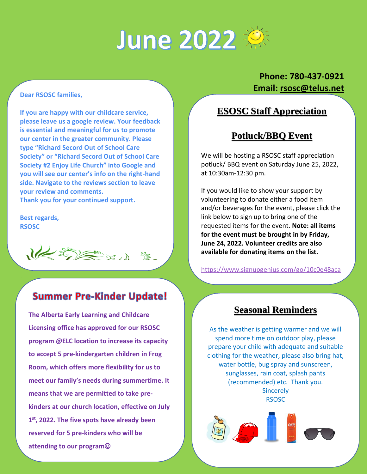# June 2022

#### **Dear RSOSC families,**

**If you are happy with our childcare service, please leave us a google review. Your feedback is essential and meaningful for us to promote our center in the greater community. Please type "Richard Secord Out of School Care Society" or "Richard Secord Out of School Care Society #2 Enjoy Life Church" into Google and you will see our center's info on the right-hand side. Navigate to the reviews section to leave your review and comments. Thank you for your continued support.**

**Best regards, RSOSC**

 $1/2$  =  $\frac{1}{2}$ 

#### **Summer Pre-Kinder Update!**

**The Alberta Early Learning and Childcare Licensing office has approved for our RSOSC program @ELC location to increase its capacity to accept 5 pre-kindergarten children in Frog Room, which offers more flexibility for us to meet our family's needs during summertime. It means that we are permitted to take prekinders at our church location, effective on July 1 st, 2022. The five spots have already been reserved for 5 pre-kinders who will be attending to our program**☺

#### **Phone: 780-437-0921 Email: [rsosc@telus.net](mailto:rsosc@telus.net)**

 $\overline{\phantom{0}}$ 

 $\overline{\phantom{0}}$ 

#### **ESOSC Staff Appreciation**

#### **Potluck/BBQ Event**

We will be hosting a RSOSC staff appreciation potluck/ BBQ event on Saturday June 25, 2022, at 10:30am-12:30 pm.

If you would like to show your support by volunteering to donate either a food item and/or beverages for the event, please click the link below to sign up to bring one of the requested items for the event. **Note: all items for the event must be brought in by Friday, June 24, 2022. Volunteer credits are also available for donating items on the list.**

[https://www.signupgenius.com/go/10c0e48aca](https://www.signupgenius.com/go/10c0e48acaf2cabfdc43-thersosc)

[f2cabfdc43-thersosc](https://www.signupgenius.com/go/10c0e48acaf2cabfdc43-thersosc)

#### **Seasonal Reminders**

As the weather is getting warmer and we will spend more time on outdoor play, please prepare your child with adequate and suitable clothing for the weather, please also bring hat, water bottle, bug spray and sunscreen, sunglasses, rain coat, splash pants (recommended) etc. Thank you. **Sincerely** RSOSC



i<br>L